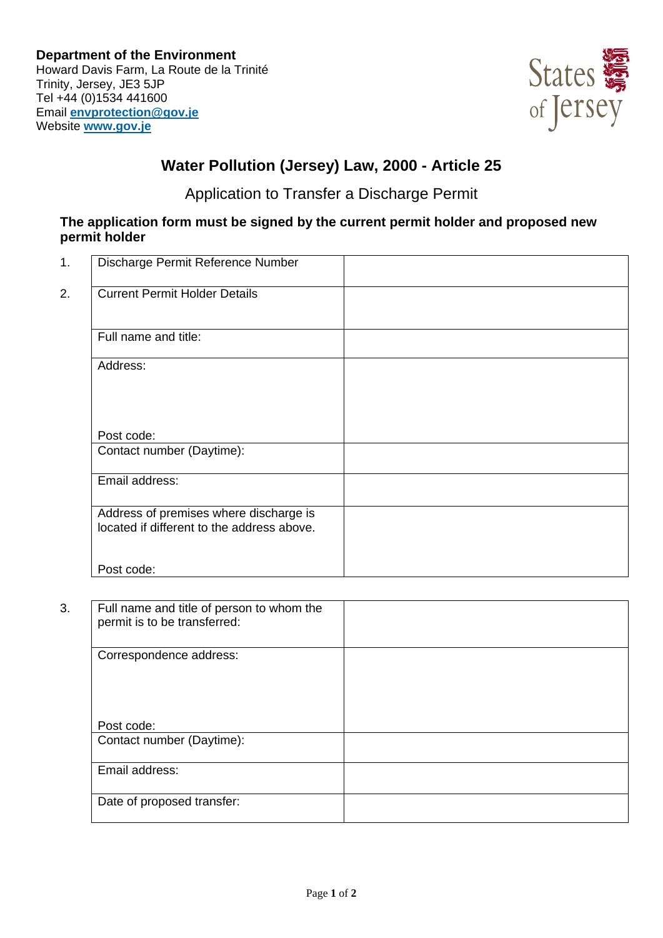

## **Water Pollution (Jersey) Law, 2000 - Article 25**

Application to Transfer a Discharge Permit

## **The application form must be signed by the current permit holder and proposed new permit holder**

| 1. | Discharge Permit Reference Number                                                    |  |
|----|--------------------------------------------------------------------------------------|--|
| 2. | <b>Current Permit Holder Details</b>                                                 |  |
|    | Full name and title:                                                                 |  |
|    | Address:                                                                             |  |
|    | Post code:                                                                           |  |
|    | Contact number (Daytime):                                                            |  |
|    | Email address:                                                                       |  |
|    | Address of premises where discharge is<br>located if different to the address above. |  |
|    | Post code:                                                                           |  |

| 3. | Full name and title of person to whom the<br>permit is to be transferred: |  |
|----|---------------------------------------------------------------------------|--|
|    | Correspondence address:                                                   |  |
|    | Post code:                                                                |  |
|    | Contact number (Daytime):                                                 |  |
|    | Email address:                                                            |  |
|    | Date of proposed transfer:                                                |  |